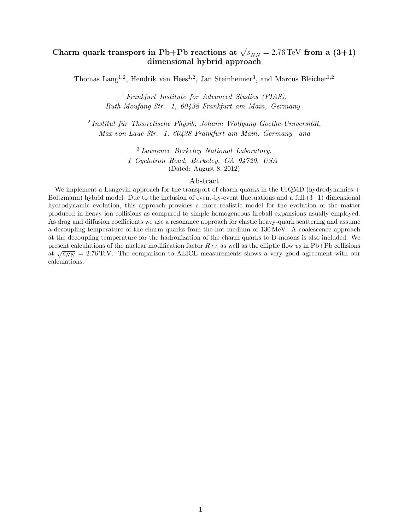# Charm quark transport in Pb+Pb reactions at  $\sqrt{s}_{NN} = 2.76 \,\text{TeV}$  from a  $(3+1)$ dimensional hybrid approach

Thomas Lang<sup>1,2</sup>, Hendrik van Hees<sup>1,2</sup>, Jan Steinheimer<sup>3</sup>, and Marcus Bleicher<sup>1,2</sup>

<sup>1</sup> Frankfurt Institute for Advanced Studies (FIAS), Ruth-Moufang-Str. 1, 60438 Frankfurt am Main, Germany

 $2$ Institut für Theoretische Physik, Johann Wolfgang Goethe-Universität, Max-von-Laue-Str. 1, 60438 Frankfurt am Main, Germany and

> <sup>3</sup> Lawrence Berkeley National Laboratory, 1 Cyclotron Road, Berkeley, CA 94720, USA (Dated: August 8, 2012)

#### Abstract

We implement a Langevin approach for the transport of charm quarks in the UrQMD (hydrodynamics  $+$ Boltzmann) hybrid model. Due to the inclusion of event-by-event fluctuations and a full  $(3+1)$  dimensional hydrodynamic evolution, this approach provides a more realistic model for the evolution of the matter produced in heavy ion collisions as compared to simple homogeneous fireball expansions usually employed. As drag and diffusion coefficients we use a resonance approach for elastic heavy-quark scattering and assume a decoupling temperature of the charm quarks from the hot medium of 130 MeV. A coalescence approach at the decoupling temperature for the hadronization of the charm quarks to D-mesons is also included. We present calculations of the nuclear modification factor  $R_{AA}$  as well as the elliptic flow  $v_2$  in Pb+Pb collisions  $\sqrt{s_{NN}} = 2.76 \text{ TeV}$ . The comparison to ALICE measurements shows a very good agreement with our calculations.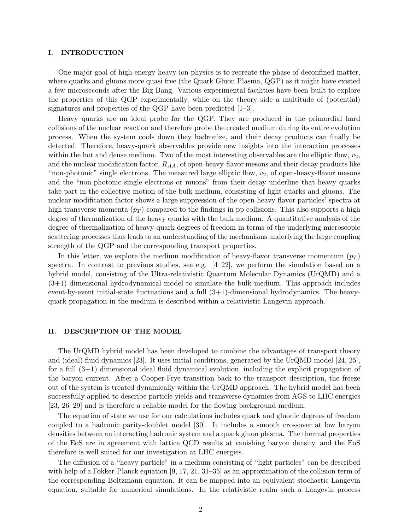### I. INTRODUCTION

One major goal of high-energy heavy-ion physics is to recreate the phase of deconfined matter, where quarks and gluons more quasi free (the Quark Gluon Plasma, QGP) as it might have existed a few microseconds after the Big Bang. Various experimental facilities have been built to explore the properties of this QGP experimentally, while on the theory side a multitude of (potential) signatures and properties of the QGP have been predicted [1–3].

Heavy quarks are an ideal probe for the QGP. They are produced in the primordial hard collisions of the nuclear reaction and therefore probe the created medium during its entire evolution process. When the system cools down they hadronize, and their decay products can finally be detected. Therefore, heavy-quark observables provide new insights into the interaction processes within the hot and dense medium. Two of the most interesting observables are the elliptic flow,  $v_2$ , and the nuclear modification factor,  $R_{AA}$ , of open-heavy-flavor mesons and their decay products like "non-photonic" single electrons. The measured large elliptic flow,  $v_2$ , of open-heavy-flavor mesons and the "non-photonic single electrons or muons" from their decay underline that heavy quarks take part in the collective motion of the bulk medium, consisting of light quarks and gluons. The nuclear modification factor shows a large suppression of the open-heavy flavor particles' spectra at high transverse momenta  $(p_T)$  compared to the findings in pp collisions. This also supports a high degree of thermalization of the heavy quarks with the bulk medium. A quantitative analysis of the degree of thermalization of heavy-quark degrees of freedom in terms of the underlying microscopic scattering processes thus leads to an understanding of the mechanisms underlying the large coupling strength of the QGP and the corresponding transport properties.

In this letter, we explore the medium modification of heavy-flavor transverse momentum  $(p_T)$ spectra. In contrast to previous studies, see e.g.  $[4-22]$ , we perform the simulation based on a hybrid model, consisting of the Ultra-relativistic Quantum Molecular Dynamics (UrQMD) and a (3+1) dimensional hydrodynamical model to simulate the bulk medium. This approach includes event-by-event initial-state fluctuations and a full  $(3+1)$ -dimensional hydrodynamics. The heavyquark propagation in the medium is described within a relativistic Langevin approach.

# II. DESCRIPTION OF THE MODEL

The UrQMD hybrid model has been developed to combine the advantages of transport theory and (ideal) fluid dynamics [23]. It uses initial conditions, generated by the UrQMD model [24, 25], for a full (3+1) dimensional ideal fluid dynamical evolution, including the explicit propagation of the baryon current. After a Cooper-Frye transition back to the transport description, the freeze out of the system is treated dynamically within the UrQMD approach. The hybrid model has been successfully applied to describe particle yields and transverse dynamics from AGS to LHC energies [23, 26–29] and is therefore a reliable model for the flowing background medium.

The equation of state we use for our calculations includes quark and gluonic degrees of freedom coupled to a hadronic parity-doublet model [30]. It includes a smooth crossover at low baryon densities between an interacting hadronic system and a quark gluon plasma. The thermal properties of the EoS are in agreement with lattice QCD results at vanishing baryon density, and the EoS therefore is well suited for our investigation at LHC energies.

The diffusion of a "heavy particle" in a medium consisting of "light particles" can be described with help of a Fokker-Planck equation [9, 17, 21, 31–35] as an approximation of the collision term of the corresponding Boltzmann equation. It can be mapped into an equivalent stochastic Langevin equation, suitable for numerical simulations. In the relativistic realm such a Langevin process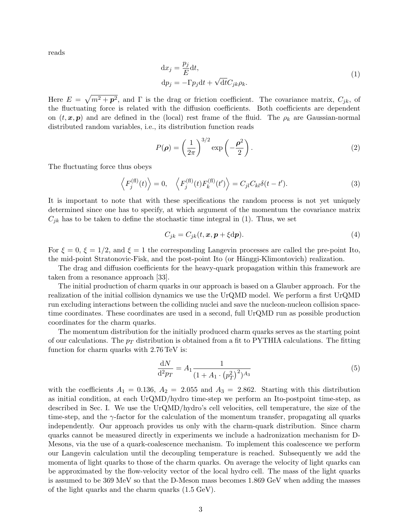reads

$$
dx_j = \frac{p_j}{E} dt,
$$
  
\n
$$
dp_j = -\Gamma p_j dt + \sqrt{dt} C_{jk} \rho_k.
$$
\n(1)

Here  $E = \sqrt{m^2 + p^2}$ , and  $\Gamma$  is the drag or friction coefficient. The covariance matrix,  $C_{jk}$ , of the fluctuating force is related with the diffusion coefficients. Both coefficients are dependent on  $(t, x, p)$  and are defined in the (local) rest frame of the fluid. The  $\rho_k$  are Gaussian-normal distributed random variables, i.e., its distribution function reads

$$
P(\rho) = \left(\frac{1}{2\pi}\right)^{3/2} \exp\left(-\frac{\rho^2}{2}\right). \tag{2}
$$

The fluctuating force thus obeys

$$
\left\langle F_j^{(\text{fl})}(t) \right\rangle = 0, \quad \left\langle F_j^{(\text{fl})}(t) F_k^{(\text{fl})}(t') \right\rangle = C_{jl} C_{kl} \delta(t - t'). \tag{3}
$$

It is important to note that with these specifications the random process is not yet uniquely determined since one has to specify, at which argument of the momentum the covariance matrix  $C_{jk}$  has to be taken to define the stochastic time integral in (1). Thus, we set

$$
C_{jk} = C_{jk}(t, \mathbf{x}, \mathbf{p} + \xi \mathrm{d}\mathbf{p}). \tag{4}
$$

For  $\xi = 0$ ,  $\xi = 1/2$ , and  $\xi = 1$  the corresponding Langevin processes are called the pre-point Ito, the mid-point Stratonovic-Fisk, and the post-point Ito (or Hänggi-Klimontovich) realization.

The drag and diffusion coefficients for the heavy-quark propagation within this framework are taken from a resonance approach [33].

The initial production of charm quarks in our approach is based on a Glauber approach. For the realization of the initial collision dynamics we use the UrQMD model. We perform a first UrQMD run excluding interactions between the colliding nuclei and save the nucleon-nucleon collision spacetime coordinates. These coordinates are used in a second, full UrQMD run as possible production coordinates for the charm quarks.

The momentum distribution for the initially produced charm quarks serves as the starting point of our calculations. The  $p_T$  distribution is obtained from a fit to PYTHIA calculations. The fitting function for charm quarks with 2.76 TeV is:

$$
\frac{\mathrm{d}N}{\mathrm{d}^2 p_T} = A_1 \frac{1}{(1 + A_1 \cdot (p_T^2)^2)^{A_3}}\tag{5}
$$

with the coefficients  $A_1 = 0.136$ ,  $A_2 = 2.055$  and  $A_3 = 2.862$ . Starting with this distribution as initial condition, at each UrQMD/hydro time-step we perform an Ito-postpoint time-step, as described in Sec. I. We use the UrQMD/hydro's cell velocities, cell temperature, the size of the time-step, and the  $\gamma$ -factor for the calculation of the momentum transfer, propagating all quarks independently. Our approach provides us only with the charm-quark distribution. Since charm quarks cannot be measured directly in experiments we include a hadronization mechanism for D-Mesons, via the use of a quark-coalescence mechanism. To implement this coalescence we perform our Langevin calculation until the decoupling temperature is reached. Subsequently we add the momenta of light quarks to those of the charm quarks. On average the velocity of light quarks can be approximated by the flow-velocity vector of the local hydro cell. The mass of the light quarks is assumed to be 369 MeV so that the D-Meson mass becomes 1.869 GeV when adding the masses of the light quarks and the charm quarks (1.5 GeV).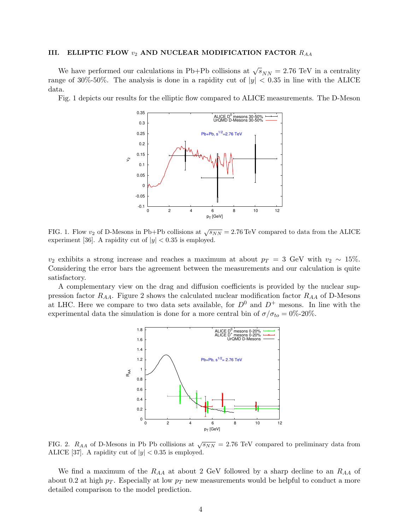## III. ELLIPTIC FLOW  $v_2$  AND NUCLEAR MODIFICATION FACTOR  $R_{AA}$

We have performed our calculations in Pb+Pb collisions at  $\sqrt{s}_{NN} = 2.76$  TeV in a centrality range of 30%-50%. The analysis is done in a rapidity cut of  $|y| < 0.35$  in line with the ALICE data.

Fig. 1 depicts our results for the elliptic flow compared to ALICE measurements. The D-Meson



FIG. 1. Flow  $v_2$  of D-Mesons in Pb+Pb collisions at  $\sqrt{s_{NN}} = 2.76 \,\text{TeV}$  compared to data from the ALICE experiment [36]. A rapidity cut of  $|y| < 0.35$  is employed.

 $v_2$  exhibits a strong increase and reaches a maximum at about  $p_T = 3$  GeV with  $v_2 \sim 15\%$ . Considering the error bars the agreement between the measurements and our calculation is quite satisfactory.

A complementary view on the drag and diffusion coefficients is provided by the nuclear suppression factor  $R_{AA}$ . Figure 2 shows the calculated nuclear modification factor  $R_{AA}$  of D-Mesons at LHC. Here we compare to two data sets available, for  $D^0$  and  $D^+$  mesons. In line with the experimental data the simulation is done for a more central bin of  $\sigma/\sigma_{to} = 0\%$ -20%.



FIG. 2.  $R_{AA}$  of D-Mesons in Pb Pb collisions at  $\sqrt{s_{NN}} = 2.76$  TeV compared to preliminary data from ALICE [37]. A rapidity cut of  $|y| < 0.35$  is employed.

We find a maximum of the  $R_{AA}$  at about 2 GeV followed by a sharp decline to an  $R_{AA}$  of about 0.2 at high  $p_T$ . Especially at low  $p_T$  new measurements would be helpful to conduct a more detailed comparison to the model prediction.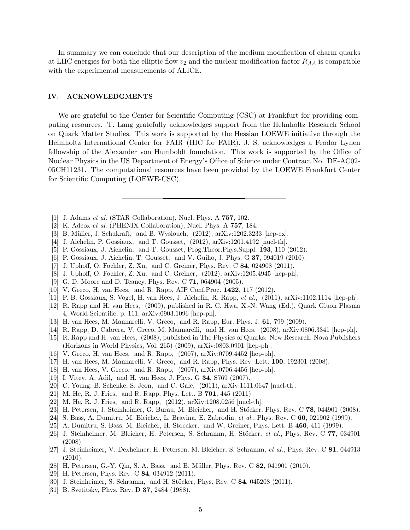In summary we can conclude that our description of the medium modification of charm quarks at LHC energies for both the elliptic flow  $v_2$  and the nuclear modification factor  $R_{AA}$  is compatible with the experimental measurements of ALICE.

## IV. ACKNOWLEDGMENTS

We are grateful to the Center for Scientific Computing (CSC) at Frankfurt for providing computing resources. T. Lang gratefully acknowledges support from the Helmholtz Research School on Quark Matter Studies. This work is supported by the Hessian LOEWE initiative through the Helmholtz International Center for FAIR (HIC for FAIR). J. S. acknowledges a Feodor Lynen fellowship of the Alexander von Humboldt foundation. This work is supported by the Office of Nuclear Physics in the US Department of Energy's Office of Science under Contract No. DE-AC02- 05CH11231. The computational resources have been provided by the LOEWE Frankfurt Center for Scientific Computing (LOEWE-CSC).

- [1] J. Adams et al. (STAR Collaboration), Nucl. Phys. A 757, 102.
- [2] K. Adcox *et al.* (PHENIX Collaboration), Nucl. Phys. A **757**, 184.
- [3] B. Müller, J. Schukraft, and B. Wyslouch,  $(2012)$ , arXiv:1202.3233 [hep-ex].
- [4] J. Aichelin, P. Gossiaux, and T. Gousset, (2012), arXiv:1201.4192 [nucl-th].
- [5] P. Gossiaux, J. Aichelin, and T. Gousset, Prog.Theor.Phys.Suppl. 193, 110 (2012).
- [6] P. Gossiaux, J. Aichelin, T. Gousset, and V. Guiho, J. Phys. G 37, 094019 (2010).
- [7] J. Uphoff, O. Fochler, Z. Xu, and C. Greiner, Phys. Rev. C 84, 024908 (2011).
- [8] J. Uphoff, O. Fochler, Z. Xu, and C. Greiner, (2012), arXiv:1205.4945 [hep-ph].
- [9] G. D. Moore and D. Teaney, Phys. Rev. C 71, 064904 (2005).
- [10] V. Greco, H. van Hees, and R. Rapp, AIP Conf.Proc. 1422, 117 (2012).
- [11] P. B. Gossiaux, S. Vogel, H. van Hees, J. Aichelin, R. Rapp, et al., (2011), arXiv:1102.1114 [hep-ph].
- [12] R. Rapp and H. van Hees, (2009), published in R. C. Hwa, X.-N. Wang (Ed.), Quark Gluon Plasma 4, World Scientific, p. 111, arXiv:0903.1096 [hep-ph].
- [13] H. van Hees, M. Mannarelli, V. Greco, and R. Rapp, Eur. Phys. J. 61, 799 (2009).
- [14] R. Rapp, D. Cabrera, V. Greco, M. Mannarelli, and H. van Hees, (2008), arXiv:0806.3341 [hep-ph].
- [15] R. Rapp and H. van Hees, (2008), published in The Physics of Quarks: New Research, Nova Publishers (Horizons in World Physics, Vol. 265) (2009), arXiv:0803.0901 [hep-ph].
- [16] V. Greco, H. van Hees, and R. Rapp, (2007), arXiv:0709.4452 [hep-ph].
- [17] H. van Hees, M. Mannarelli, V. Greco, and R. Rapp, Phys. Rev. Lett. 100, 192301 (2008).
- [18] H. van Hees, V. Greco, and R. Rapp, (2007), arXiv:0706.4456 [hep-ph].
- [19] I. Vitev, A. Adil, and H. van Hees, J. Phys. G 34, S769 (2007).
- [20] C. Young, B. Schenke, S. Jeon, and C. Gale, (2011), arXiv:1111.0647 [nucl-th].
- [21] M. He, R. J. Fries, and R. Rapp, Phys. Lett. B **701**, 445 (2011).
- [22] M. He, R. J. Fries, and R. Rapp, (2012), arXiv:1208.0256 [nucl-th].
- [23] H. Petersen, J. Steinheimer, G. Burau, M. Bleicher, and H. Stöcker, Phys. Rev. C  $78$ , 044901 (2008).
- [24] S. Bass, A. Dumitru, M. Bleicher, L. Bravina, E. Zabrodin, et al., Phys. Rev. C  $60$ , 021902 (1999).
- [25] A. Dumitru, S. Bass, M. Bleicher, H. Stoecker, and W. Greiner, Phys. Lett. B 460, 411 (1999).
- [26] J. Steinheimer, M. Bleicher, H. Petersen, S. Schramm, H. Stöcker, et al., Phys. Rev. C 77, 034901 (2008).
- [27] J. Steinheimer, V. Dexheimer, H. Petersen, M. Bleicher, S. Schramm, et al., Phys. Rev. C 81, 044913  $(2010).$
- [28] H. Petersen, G.-Y. Qin, S. A. Bass, and B. Müller, Phys. Rev. C 82, 041901 (2010).
- [29] H. Petersen, Phys. Rev. C 84, 034912 (2011).
- [30] J. Steinheimer, S. Schramm, and H. Stöcker, Phys. Rev. C  $84, 045208$  (2011).
- [31] B. Svetitsky, Phys. Rev. D **37**, 2484 (1988).